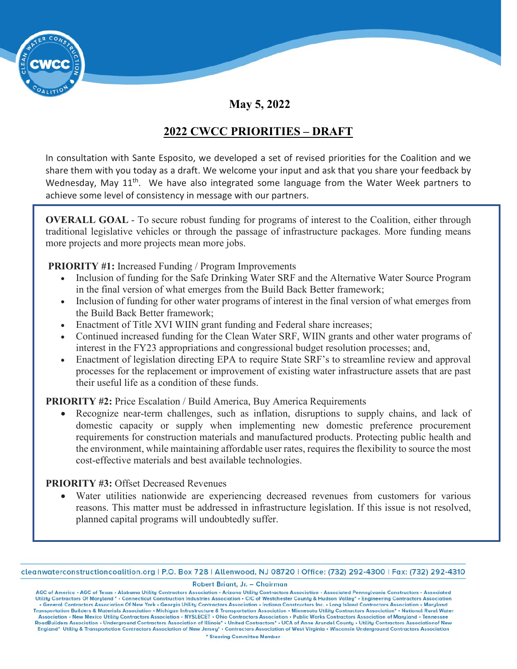

**May 5, 2022** 

# **2022 CWCC PRIORITIES – DRAFT**

In consultation with Sante Esposito, we developed a set of revised priorities for the Coalition and we share them with you today as a draft. We welcome your input and ask that you share your feedback by Wednesday, May 11<sup>th</sup>. We have also integrated some language from the Water Week partners to achieve some level of consistency in message with our partners.

**OVERALL GOAL** - To secure robust funding for programs of interest to the Coalition, either through traditional legislative vehicles or through the passage of infrastructure packages. More funding means more projects and more projects mean more jobs.

**PRIORITY #1:** Increased Funding / Program Improvements

- Inclusion of funding for the Safe Drinking Water SRF and the Alternative Water Source Program in the final version of what emerges from the Build Back Better framework;
- Inclusion of funding for other water programs of interest in the final version of what emerges from the Build Back Better framework;
- Enactment of Title XVI WIIN grant funding and Federal share increases;
- Continued increased funding for the Clean Water SRF, WIIN grants and other water programs of interest in the FY23 appropriations and congressional budget resolution processes; and,
- Enactment of legislation directing EPA to require State SRF's to streamline review and approval processes for the replacement or improvement of existing water infrastructure assets that are past their useful life as a condition of these funds.

**PRIORITY #2:** Price Escalation / Build America, Buy America Requirements

• Recognize near-term challenges, such as inflation, disruptions to supply chains, and lack of domestic capacity or supply when implementing new domestic preference procurement requirements for construction materials and manufactured products. Protecting public health and the environment, while maintaining affordable user rates, requires the flexibility to source the most cost-effective materials and best available technologies.

## **PRIORITY #3:** Offset Decreased Revenues

• Water utilities nationwide are experiencing decreased revenues from customers for various reasons. This matter must be addressed in infrastructure legislation. If this issue is not resolved, planned capital programs will undoubtedly suffer.

cleanwaterconstructioncoalition.org | P.O. Box 728 | Allenwood, NJ 08720 | Office: (732) 292-4300 | Fax: (732) 292-4310

Robert Briant, Jr. - Chairman

AGC of America • AGC of Texas • Alabama Utility Contractors Association • Arizona Utility Contractors Association • Associated Pennsylvania Constructors • Associated Utility Contractors Of Maryland • • Connecticut Construc . General Contractors Association Of New York . Georgia Utility Contractors Association . Indiana Constructors Inc. . Long Island Contractors Association . Maryland Transportation Builders & Materials Association • Michigan Infrastructure & Transportation Association • Minnesota Utility Contractors Association\* • National Rural Water Association • New Mexico Utility Contractors Association • NYSLECET • Ohio Contractors Association • Public Works Contractors Association of Maryland • Tennessee<br>RoadBuilders Association • Underground Contractors Associati England\* Utility & Transportation Contractors Association of New Jersey\* - Contractors Association of West Virginia - Wisconsin Underground Contractors Association \* Steering Committee Member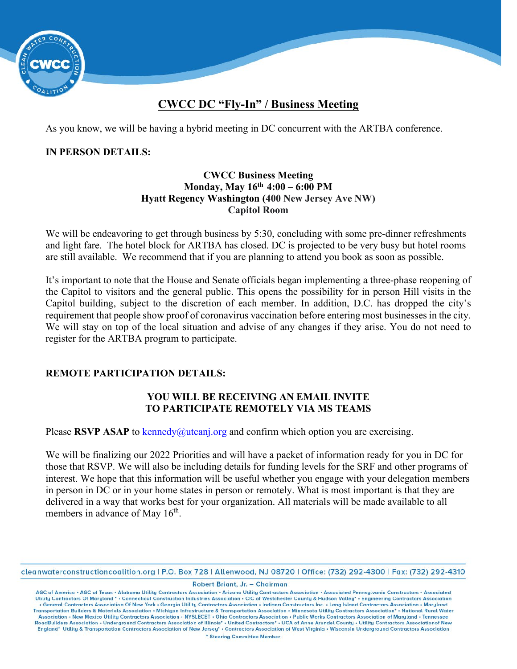

# **CWCC DC "Fly-In" / Business Meeting**

As you know, we will be having a hybrid meeting in DC concurrent with the ARTBA conference.

#### **IN PERSON DETAILS:**

#### **CWCC Business Meeting Monday, May 16th 4:00 – 6:00 PM Hyatt Regency Washington (400 New Jersey Ave NW) Capitol Room**

We will be endeavoring to get through business by 5:30, concluding with some pre-dinner refreshments and light fare. The hotel block for ARTBA has closed. DC is projected to be very busy but hotel rooms are still available. We recommend that if you are planning to attend you book as soon as possible.

It's important to note that the House and Senate officials began implementing a three-phase reopening of the Capitol to visitors and the general public. This opens the possibility for in person Hill visits in the Capitol building, subject to the discretion of each member. In addition, D.C. has dropped the city's requirement that people show proof of coronavirus vaccination before entering most businesses in the city. We will stay on top of the local situation and advise of any changes if they arise. You do not need to register for the ARTBA program to participate.

#### **REMOTE PARTICIPATION DETAILS:**

#### **YOU WILL BE RECEIVING AN EMAIL INVITE TO PARTICIPATE REMOTELY VIA MS TEAMS**

Please RSVP ASAP to [kennedy@utcanj.org](mailto:kennedy@utcanj.org) and confirm which option you are exercising.

We will be finalizing our 2022 Priorities and will have a packet of information ready for you in DC for those that RSVP. We will also be including details for funding levels for the SRF and other programs of interest. We hope that this information will be useful whether you engage with your delegation members in person in DC or in your home states in person or remotely. What is most important is that they are delivered in a way that works best for your organization. All materials will be made available to all members in advance of May 16<sup>th</sup>.

Robert Briant, Jr. - Chairman

cleanwaterconstructioncoalition.org | P.O. Box 728 | Allenwood, NJ 08720 | Office: (732) 292-4300 | Fax: (732) 292-4310

AGC of America • AGC of Texas • Alabama Utility Contractors Association • Arizona Utility Contractors Association • Associated Pennsylvania Constructors • Associated Utility Contractors Of Maryland • • Connecticut Construc . General Contractors Association Of New York . Georgia Utility Contractors Association . Indiana Constructors Inc. . Long Island Contractors Association . Maryland Transportation Builders & Materials Association • Michigan Infrastructure & Transportation Association • Minnesota Utility Contractors Association\* • National Rural Water Association • New Mexico Utility Contractors Association • NYSLECET • Ohio Contractors Association • Public Works Contractors Association of Maryland • Tennessee<br>RoadBuilders Association • Underground Contractors Associati England\* Utility & Transportation Contractors Association of New Jersey\* - Contractors Association of West Virginia - Wisconsin Underground Contractors Association \* Steering Committee Member